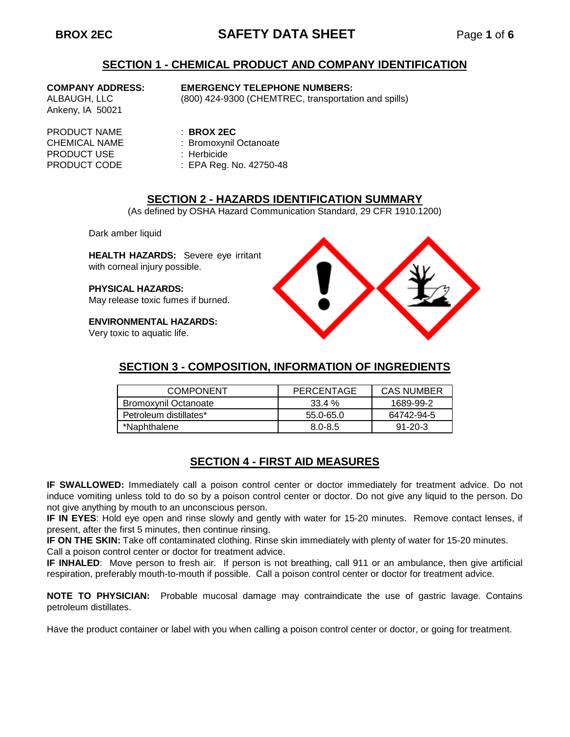# **BROX 2EC SAFETY DATA SHEET** Page **1** of **6**

# **SECTION 1 - CHEMICAL PRODUCT AND COMPANY IDENTIFICATION**

Ankeny, IA 50021

### **COMPANY ADDRESS: EMERGENCY TELEPHONE NUMBERS:**

ALBAUGH, LLC (800) 424-9300 (CHEMTREC, transportation and spills)

PRODUCT NAME : **BROX 2EC** PRODUCT USE : Herbicide

- CHEMICAL NAME : Bromoxynil Octanoate
	-
- PRODUCT CODE : EPA Reg. No. 42750-48

# **SECTION 2 - HAZARDS IDENTIFICATION SUMMARY**

(As defined by OSHA Hazard Communication Standard, 29 CFR 1910.1200)

Dark amber liquid

**HEALTH HAZARDS:** Severe eye irritant with corneal injury possible.

**PHYSICAL HAZARDS:** May release toxic fumes if burned.

**ENVIRONMENTAL HAZARDS:**

Very toxic to aquatic life.



# **SECTION 3 - COMPOSITION, INFORMATION OF INGREDIENTS**

| <b>COMPONENT</b>            | PERCENTAGE  | <b>CAS NUMBER</b> |  |
|-----------------------------|-------------|-------------------|--|
| <b>Bromoxynil Octanoate</b> | 33.4 %      | 1689-99-2         |  |
| Petroleum distillates*      | 55.0-65.0   | 64742-94-5        |  |
| *Naphthalene                | $8.0 - 8.5$ | $91 - 20 - 3$     |  |

# **SECTION 4 - FIRST AID MEASURES**

**IF SWALLOWED:** Immediately call a poison control center or doctor immediately for treatment advice. Do not induce vomiting unless told to do so by a poison control center or doctor. Do not give any liquid to the person. Do not give anything by mouth to an unconscious person.

**IF IN EYES**: Hold eye open and rinse slowly and gently with water for 15-20 minutes. Remove contact lenses, if present, after the first 5 minutes, then continue rinsing.

**IF ON THE SKIN:** Take off contaminated clothing. Rinse skin immediately with plenty of water for 15-20 minutes. Call a poison control center or doctor for treatment advice.

**IF INHALED**: Move person to fresh air. If person is not breathing, call 911 or an ambulance, then give artificial respiration, preferably mouth-to-mouth if possible. Call a poison control center or doctor for treatment advice.

**NOTE TO PHYSICIAN:** Probable mucosal damage may contraindicate the use of gastric lavage. Contains petroleum distillates.

Have the product container or label with you when calling a poison control center or doctor, or going for treatment.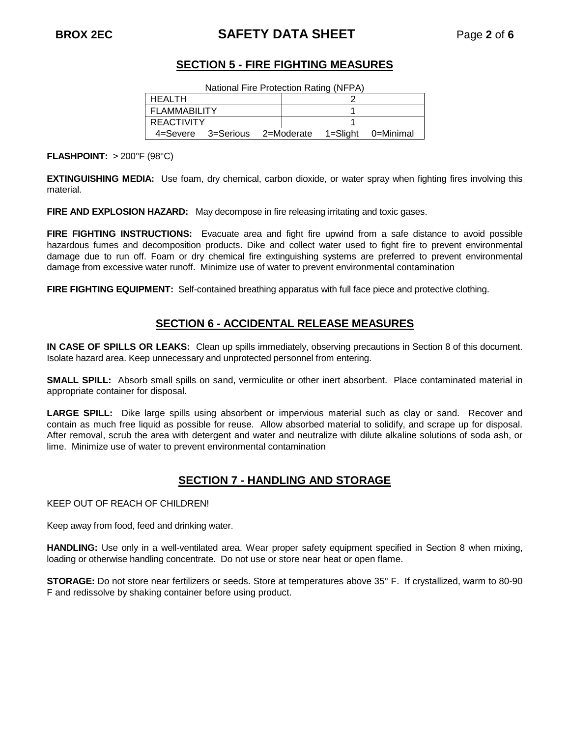# **BROX 2EC SAFETY DATA SHEET** Page **2** of **6**

# **SECTION 5 - FIRE FIGHTING MEASURES**

National Fire Protection Rating (NFPA)

| I HEALTH          |                    |  |            |          |           |
|-------------------|--------------------|--|------------|----------|-----------|
| FLAMMABILITY      |                    |  |            |          |           |
| <b>REACTIVITY</b> |                    |  |            |          |           |
|                   | 4=Severe 3=Serious |  | 2=Moderate | 1=Sliaht | 0=Minimal |

**FLASHPOINT:** > 200°F (98°C)

**EXTINGUISHING MEDIA:** Use foam, dry chemical, carbon dioxide, or water spray when fighting fires involving this material.

**FIRE AND EXPLOSION HAZARD:** May decompose in fire releasing irritating and toxic gases.

**FIRE FIGHTING INSTRUCTIONS:** Evacuate area and fight fire upwind from a safe distance to avoid possible hazardous fumes and decomposition products. Dike and collect water used to fight fire to prevent environmental damage due to run off. Foam or dry chemical fire extinguishing systems are preferred to prevent environmental damage from excessive water runoff. Minimize use of water to prevent environmental contamination

**FIRE FIGHTING EQUIPMENT:** Self-contained breathing apparatus with full face piece and protective clothing.

# **SECTION 6 - ACCIDENTAL RELEASE MEASURES**

**IN CASE OF SPILLS OR LEAKS:** Clean up spills immediately, observing precautions in Section 8 of this document. Isolate hazard area. Keep unnecessary and unprotected personnel from entering.

**SMALL SPILL:** Absorb small spills on sand, vermiculite or other inert absorbent. Place contaminated material in appropriate container for disposal.

**LARGE SPILL:** Dike large spills using absorbent or impervious material such as clay or sand. Recover and contain as much free liquid as possible for reuse. Allow absorbed material to solidify, and scrape up for disposal. After removal, scrub the area with detergent and water and neutralize with dilute alkaline solutions of soda ash, or lime. Minimize use of water to prevent environmental contamination

# **SECTION 7 - HANDLING AND STORAGE**

KEEP OUT OF REACH OF CHILDREN!

Keep away from food, feed and drinking water.

**HANDLING:** Use only in a well-ventilated area. Wear proper safety equipment specified in Section 8 when mixing, loading or otherwise handling concentrate. Do not use or store near heat or open flame.

**STORAGE:** Do not store near fertilizers or seeds. Store at temperatures above 35° F. If crystallized, warm to 80-90 F and redissolve by shaking container before using product.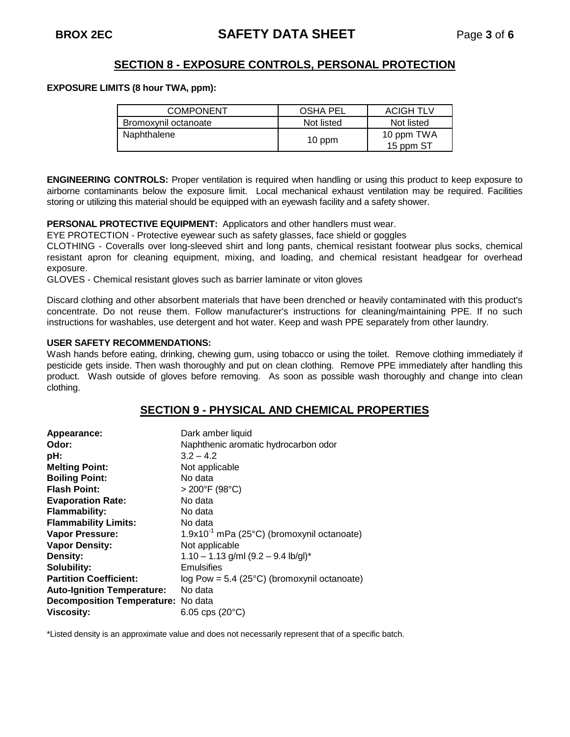# **SECTION 8 - EXPOSURE CONTROLS, PERSONAL PROTECTION**

#### **EXPOSURE LIMITS (8 hour TWA, ppm):**

| <b>COMPONENT</b>     | OSHA PEL   | <b>ACIGH TLV</b>        |  |
|----------------------|------------|-------------------------|--|
| Bromoxynil octanoate | Not listed | Not listed              |  |
| Naphthalene          | 10 ppm     | 10 ppm TWA<br>15 ppm ST |  |

**ENGINEERING CONTROLS:** Proper ventilation is required when handling or using this product to keep exposure to airborne contaminants below the exposure limit. Local mechanical exhaust ventilation may be required. Facilities storing or utilizing this material should be equipped with an eyewash facility and a safety shower.

#### **PERSONAL PROTECTIVE EQUIPMENT:** Applicators and other handlers must wear.

EYE PROTECTION - Protective eyewear such as safety glasses, face shield or goggles

CLOTHING - Coveralls over long-sleeved shirt and long pants, chemical resistant footwear plus socks, chemical resistant apron for cleaning equipment, mixing, and loading, and chemical resistant headgear for overhead exposure.

GLOVES - Chemical resistant gloves such as barrier laminate or viton gloves

Discard clothing and other absorbent materials that have been drenched or heavily contaminated with this product's concentrate. Do not reuse them. Follow manufacturer's instructions for cleaning/maintaining PPE. If no such instructions for washables, use detergent and hot water. Keep and wash PPE separately from other laundry.

#### **USER SAFETY RECOMMENDATIONS:**

Wash hands before eating, drinking, chewing gum, using tobacco or using the toilet. Remove clothing immediately if pesticide gets inside. Then wash thoroughly and put on clean clothing. Remove PPE immediately after handling this product. Wash outside of gloves before removing. As soon as possible wash thoroughly and change into clean clothing.

### **SECTION 9 - PHYSICAL AND CHEMICAL PROPERTIES**

| Appearance:                        | Dark amber liquid                               |
|------------------------------------|-------------------------------------------------|
| Odor:                              | Naphthenic aromatic hydrocarbon odor            |
| pH:                                | $3.2 - 4.2$                                     |
| <b>Melting Point:</b>              | Not applicable                                  |
| <b>Boiling Point:</b>              | No data                                         |
| <b>Flash Point:</b>                | $>$ 200°F (98°C)                                |
| <b>Evaporation Rate:</b>           | No data                                         |
| <b>Flammability:</b>               | No data                                         |
| <b>Flammability Limits:</b>        | No data                                         |
| Vapor Pressure:                    | $1.9x10^{-1}$ mPa (25°C) (bromoxynil octanoate) |
| <b>Vapor Density:</b>              | Not applicable                                  |
| Density:                           | $1.10 - 1.13$ g/ml $(9.2 - 9.4$ lb/gl)*         |
| Solubility:                        | Emulsifies                                      |
| <b>Partition Coefficient:</b>      | $log Pow = 5.4 (25°C)$ (bromoxynil octanoate)   |
| <b>Auto-Ignition Temperature:</b>  | No data                                         |
| Decomposition Temperature: No data |                                                 |
| <b>Viscosity:</b>                  | 6.05 cps $(20^{\circ}C)$                        |

\*Listed density is an approximate value and does not necessarily represent that of a specific batch.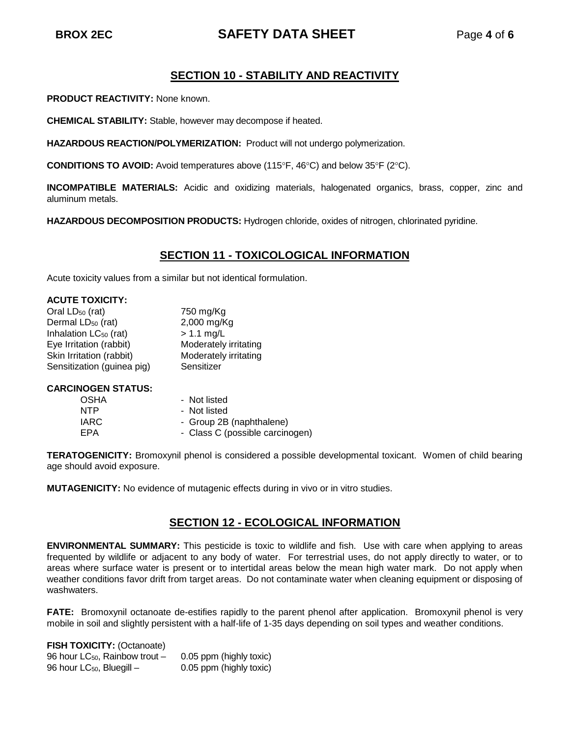# **BROX 2EC SAFETY DATA SHEET** Page **4** of **6**

# **SECTION 10 - STABILITY AND REACTIVITY**

**PRODUCT REACTIVITY:** None known.

**CHEMICAL STABILITY:** Stable, however may decompose if heated.

**HAZARDOUS REACTION/POLYMERIZATION:** Product will not undergo polymerization.

**CONDITIONS TO AVOID:** Avoid temperatures above (115°F, 46°C) and below 35°F (2°C).

**INCOMPATIBLE MATERIALS:** Acidic and oxidizing materials, halogenated organics, brass, copper, zinc and aluminum metals.

**HAZARDOUS DECOMPOSITION PRODUCTS:** Hydrogen chloride, oxides of nitrogen, chlorinated pyridine.

# **SECTION 11 - TOXICOLOGICAL INFORMATION**

Acute toxicity values from a similar but not identical formulation.

#### **ACUTE TOXICITY:**

| Oral LD <sub>50</sub> (rat)       | 750 mg/Kg             |
|-----------------------------------|-----------------------|
| Dermal LD <sub>50</sub> (rat)     | 2,000 mg/Kg           |
| Inhalation LC <sub>50</sub> (rat) | $> 1.1$ mg/L          |
| Eye Irritation (rabbit)           | Moderately irritating |
| Skin Irritation (rabbit)          | Moderately irritating |
| Sensitization (guinea pig)        | Sensitizer            |

#### **CARCINOGEN STATUS:**

| <b>OSHA</b> | - Not listed                    |
|-------------|---------------------------------|
| NTP         | - Not listed                    |
| <b>IARC</b> | - Group 2B (naphthalene)        |
| EPA         | - Class C (possible carcinogen) |
|             |                                 |

**TERATOGENICITY:** Bromoxynil phenol is considered a possible developmental toxicant. Women of child bearing age should avoid exposure.

**MUTAGENICITY:** No evidence of mutagenic effects during in vivo or in vitro studies.

# **SECTION 12 - ECOLOGICAL INFORMATION**

**ENVIRONMENTAL SUMMARY:** This pesticide is toxic to wildlife and fish. Use with care when applying to areas frequented by wildlife or adjacent to any body of water. For terrestrial uses, do not apply directly to water, or to areas where surface water is present or to intertidal areas below the mean high water mark. Do not apply when weather conditions favor drift from target areas. Do not contaminate water when cleaning equipment or disposing of washwaters.

**FATE:** Bromoxynil octanoate de-estifies rapidly to the parent phenol after application. Bromoxynil phenol is very mobile in soil and slightly persistent with a half-life of 1-35 days depending on soil types and weather conditions.

**FISH TOXICITY:** (Octanoate)

96 hour  $LC_{50}$ , Rainbow trout  $-$  0.05 ppm (highly toxic) 96 hour  $LC_{50}$ , Bluegill –  $0.05$  ppm (highly toxic)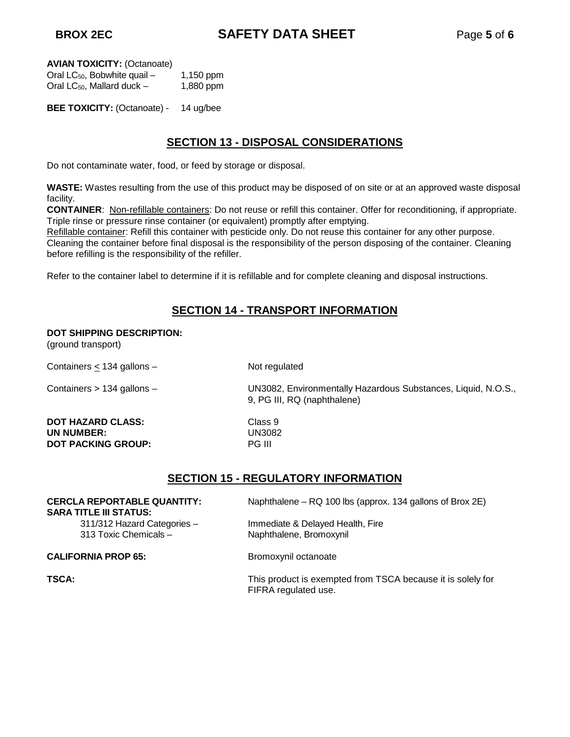**AVIAN TOXICITY:** (Octanoate)

Oral LC<sub>50</sub>, Bobwhite quail – 1,150 ppm Oral LC $_{50}$ , Mallard duck  $-$  1,880 ppm

**BEE TOXICITY:** (Octanoate) - 14 ug/bee

# **SECTION 13 - DISPOSAL CONSIDERATIONS**

Do not contaminate water, food, or feed by storage or disposal.

**WASTE:** Wastes resulting from the use of this product may be disposed of on site or at an approved waste disposal facility.

**CONTAINER**: Non-refillable containers: Do not reuse or refill this container. Offer for reconditioning, if appropriate. Triple rinse or pressure rinse container (or equivalent) promptly after emptying.

Refillable container: Refill this container with pesticide only. Do not reuse this container for any other purpose. Cleaning the container before final disposal is the responsibility of the person disposing of the container. Cleaning before refilling is the responsibility of the refiller.

Refer to the container label to determine if it is refillable and for complete cleaning and disposal instructions.

# **SECTION 14 - TRANSPORT INFORMATION**

#### **DOT SHIPPING DESCRIPTION:**

(ground transport)

Containers  $\leq 134$  gallons – Not regulated

**DOT HAZARD CLASS:** Class 9 **UN NUMBER:** UN3082 **DOT PACKING GROUP:** PG III

Containers > 134 gallons – UN3082, Environmentally Hazardous Substances, Liquid, N.O.S., 9, PG III, RQ (naphthalene)

# **SECTION 15 - REGULATORY INFORMATION**

# **CERCLA REPORTABLE QUANTITY:** Naphthalene – RQ 100 lbs (approx. 134 gallons of Brox 2E) **SARA TITLE III STATUS:**<br>- 311/312 Hazard Categories Immediate & Delayed Health, Fire 313 Toxic Chemicals – Naphthalene, Bromoxynil **CALIFORNIA PROP 65:** Bromoxynil octanoate

**TSCA:** TSCA: TSCA: TSCA: TELECTION: This product is exempted from TSCA because it is solely for FIFRA regulated use.